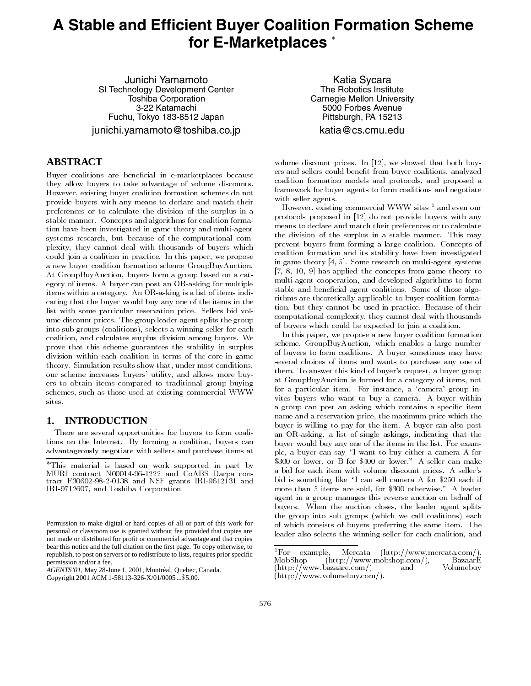# **A Stable and Efficient Buyer Coalition Formation Scheme for E-Marketplaces**

Junichi Yamamoto SI Technology Development Center Toshiba Corporation 3-22 Katamachi Fuchu, Tokyo 183-8512 Japan junichi.yamamoto@toshiba.co.jp

Katia Sycara The Robotics Institute Carnegie Mellon University 5000 Forbes Avenue Pittsburgh, PA 15213 katia@cs.cmu.edu

# **ABSTRACT**

Buyer coalitions are beneficial in e-marketplaces because they allow buyers to take advantage of volume discounts. However, existing buyer coalition formation schemes do not provide buyers with any means to declare and match their preferences or to calculate the division of the surplus in a stable manner. Concepts and algorithms for coalition formation have been investigated in game theory and multi-agent systems research, but because of the computational complexity, they cannot deal with thousands of buyers which could join a coalition in practice. In this paper, we propose a new buyer coalition formation scheme GroupBuyAuction. At GroupBuyAuction, buyers form a group based on a category of items. A buyer can post an OR-asking for multiple items within a category. An OR-asking is a list of items indicating that the buyer would buy any one of the items in the list with some particular reservation price. Sellers bid volume discount prices. The group leader agent splits the group into sub groups (coalitions), selects a winning seller for each coalition, and calculates surplus division among buyers. We prove that this scheme guarantees the stability in surplus division within each coalition in terms of the core in game theory. Simulation results show that, under most conditions, our scheme increases buyers' utility, and allows more buyers to obtain items compared to traditional group buying schemes, such as those used at existing commercial WWW

## **1. INTRODUCTION**

There are several opportunities for buyers to form coalitions on the Internet. By forming a coalition, buyers can advantageously negotiate with sellers and purchase items at volume discount prices. In [12], we showed that both buyers and sellers could benet from buyer coalitions, analyzed coalition formation models and protocols, and proposed a framework for buyer agents to form coalitions and negotiate with seller agents.

However, existing commercial WWW sites <sup>1</sup> and even our protocols proposed in [12] do not provide buyers with any means to declare and match their preferences or to calculate the division of the surplus in a stable manner. This may prevent buyers from forming a large coalition. Concepts of coalition formation and its stability have been investigated in game theory [4, 5]. Some research on multi-agent systems [7, 8, 10, 9] has applied the concepts from game theory to multi-agent cooperation, and developed algorithms to form stable and beneficial agent coalitions. Some of those algorithms are theoretically applicable to buyer coalition formation, but they cannot be used in practice. Because of their computational complexity, they cannot deal with thousands of buyers which could be expected to join a coalition.

In this paper, we propose a new buyer coalition formation scheme, GroupBuyAuction, which enables a large number of buyers to form coalitions. A buyer sometimes may have several choices of items and wants to purchase any one of them. To answer this kind of buyer's request, a buyer group at GroupBuyAuction is formed for a category of items, not for a particular item. For instance, a 'camera' group invites buyers who want to buy a camera. A buyer within a group can post an asking which contains a specific item name and a reservation price, the maximum price which the buyer is willing to pay for the item. A buyer can also post an OR-asking, a list of single askings, indicating that the buyer would buy any one of the items in the list. For exam ple, a buyer can say \I want to buy either a camera A for \$300 or lower, or B for \$400 or lower." A seller can make a bid for each item with volume discount prices. A seller's bid is something like \I can sell camera A for \$250 each if more than 5 items are sold, for \$300 otherwise." A leader agent in a group manages this reverse auction on behalf of buyers. When the auction closes, the leader agent splits the group into sub groups (which we call coalitions) each of which consists of buyers preferring the same item. The leader also selects the winning seller for each coalition, and

This material is based on work supported in part by MURI contract N00014-96-1222 and CoABS Darpa contract F30602-98-2-0138 and NSF grants IRI-9612131 and IRI-9712607, and Toshiba Corporation

Permission to make digital or hard copies of all or part of this work for personal or classroom use is granted without fee provided that copies are not made or distributed for profit or commercial advantage and that copies bear this notice and the full citation on the first page. To copy otherwise, to republish, to post on servers or to redistribute to lists, requires prior specific permission and/or a fee.

*AGENTS'01*, May 28-June 1, 2001, Montréal, Quebec, Canada.

Copyright 2001 ACM 1-58113-326-X/01/0005 ...\$5.00.

<sup>&</sup>lt;sup>1</sup>For example, Mercata  $(http://www.mercata.com/),$ MobShop (http://www.mobshop.com/), BazaarE (http://www.bazaare.com/) and Volumebuy (http://www.volumebuy.com/).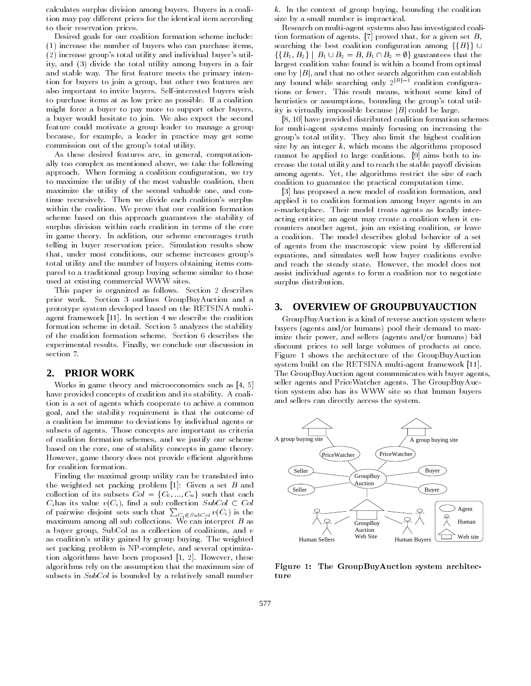calculates surplus division among buyers. Buyers in a coalition may pay different prices for the identical item according to their reservation prices.

Desired goals for our coalition formation scheme include: (1) increase the number of buyers who can purchase items, (2) increase group's total utility and individual buyer's utility, and (3) divide the total utility among buyers in a fair and stable way. The first feature meets the primary intention for buyers to join a group, but other two features are also important to invite buyers. Self-interested buyers wish to purchase items at as low price as possible. If a coalition might force a buyer to pay more to support other buyers, a buyer would hesitate to join. We also expect the second feature could motivate a group leader to manage a group because, for example, a leader in practice may get some commission out of the group's total utility.

As these desired features are, in general, computationally too complex as mentioned above, we take the following approach. When forming a coalition conguration, we try to maximize the utility of the most valuable coalition, then maximize the utility of the second valuable one, and continue recursively. Then we divide each coalition's surplus within the coalition. We prove that our coalition formation scheme based on this approach guarantees the stability of surplus division within each coalition in terms of the core in game theory. In addition, our scheme encourages truth telling in buyer reservation price. Simulation results show that, under most conditions, our scheme increases group's total utility and the number of buyers obtaining items compared to a traditional group buying scheme similar to those used at existing commercial WWW sites.

This paper is organized as follows. Section 2 describes prior work. Section 3 outlines GroupBuyAuction and a prototype system developed based on the RETSINA multiagent framework [11]. In section 4 we describe the coalition formation scheme in detail. Section 5 analyzes the stability of the coalition formation scheme. Section 6 describes the experimental results. Finally, we conclude our discussion in section 7.

## **2. PRIOR WORK**

Works in game theory and microeconomics such as [4, 5] have provided concepts of coalition and its stability. A coalition is a set of agents which cooperate to achive a common goal, and the stability requirement is that the outcome of a coalition be immune to deviations by individual agents or subsets of agents. Those concepts are important as criteria of coalition formation schemes, and we justify our scheme based on the core, one of stability concepts in game theory. However, game theory does not provide efficient algorithms for coalition formation.

Finding the maximal group utility can be translated into the weighted set packing problem [1]: Given a set  $B$  and collection of its subsets  $Col = \{C_0, ..., C_n\}$  such that each  $C_i$ has its value  $v(C_i)$ , find a sub collection  $SubCol \subset Col$ of pairwise disjoint sets such that  $\sum_{C_i \in SubCol}(C_i)$  is the maximum among all sub collections. We can interpret B as a buyer group, SubCol as a collection of coalitions, and v as coalition's utility gained by group buying. The weighted set packing problem is NP-complete, and several optimization algorithms have been proposed [1, 2]. However, these algorithms rely on the assumption that the maximum size of subsets in  $SubCol$  is bounded by a relatively small number

 $k$ . In the context of group buying, bounding the coalition size by a small number is impractical.

Research on multi-agent systems also has investigated coalition formation of agents. [7] proved that, for a given set  $B$ , searching the best coalition configuration among  $\{\{B\}\}\cup$  $\{ \{B_1, B_2\} \mid B_1 \cup B_2 = B, B_1 \cap B_2 = \emptyset \}$  guarantees that the largest coalition value found is within a bound from optimal one by  $|B|$ , and that no other search algorithm can establish any bound while searching only  $2^{|B|-1}$  coalition configurations or fewer. This result means, without some kind of heuristics or assumptions, bounding the group's total utility is virtually impossible because  $|B|$  could be large.

[8, 10] have provided distributed coalition formation schemes for multi-agent systems mainly focusing on increasing the group's total utility. They also limit the highest coalition size by an integer  $k$ , which means the algorithms proposed cannot be applied to large coalitions. [9] aims both to increase the total utility and to reach the stable payoff division among agents. Yet, the algorithms restrict the size of each coalition to guarantee the practical computation time.

[3] has proposed a new model of coalition formation, and applied it to coalition formation among buyer agents in an e-marketplace. Their model treats agents as locally interacting entities; an agent may create a coalition when it encounters another agent, join an existing coalition, or leave a coalition. The model describes global behavior of a set of agents from the macroscopic view point by differential equations, and simulates well how buyer coalitions evolve and reach the steady state. However, the model does not assist individual agents to form a coalition nor to negotiate surplus distribution.

## **3. OVERVIEW OF GROUPBUYAUCTION**

GroupBuyAuction is a kind of reverse auction system where buyers (agents and/or humans) pool their demand to maximize their power, and sellers (agents and/or humans) bid discount prices to sell large volumes of products at once. Figure 1 shows the architecture of the GroupBuyAuction system build on the RETSINA multi-agent framework [11]. The GroupBuyAuction agent communicates with buyer agents, seller agents and PriceWatcher agents. The GroupBuyAuction system also has its WWW site so that human buyers and sellers can directly access the system.



Figure 1: The GroupBuyAuction system architecture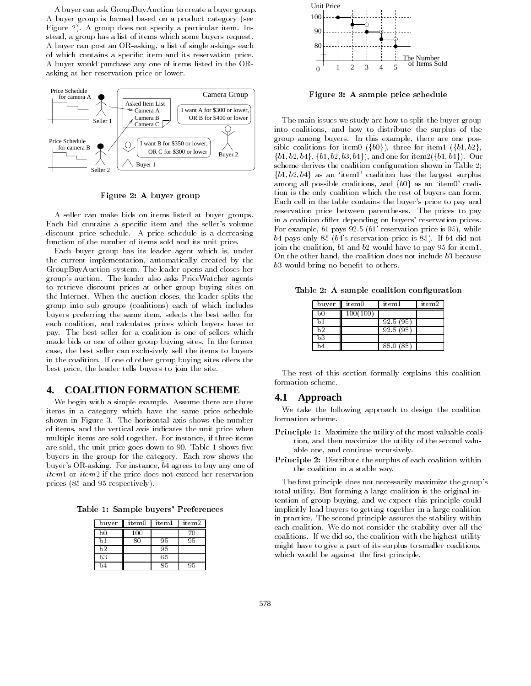A buyer can ask GroupBuyAuction to create a buyer group. A buyer group is formed based on a product category (see Figure 2). A group does not specify a particular item. Instead, a group has a list of items which some buyers request. A buyer can post an OR-asking, a list of single askings each of which contains a specic item and its reservation price. A buyer would purchase any one of items listed in the ORasking at her reservation price or lower.



Figure 2: A buyer group

A seller can make bids on items listed at buyer groups. Each bid contains a specific item and the seller's volume discount price schedule. A price schedule is a decreasing function of the number of items sold and its unit price.

Each buyer group has its leader agent which is, under the current implementation, automatically created by the GroupBuyAuction system. The leader opens and closes her group's auction. The leader also asks PriceWatcher agents to retrieve discount prices at other group buying sites on the Internet. When the auction closes, the leader splits the group into sub groups (coalitions) each of which includes buyers preferring the same item, selects the best seller for each coalition, and calculates prices which buyers have to pay. The best seller for a coalition is one of sellers which made bids or one of other group buying sites. In the former case, the best seller can exclusively sell the items to buyers in the coalition. If one of other group buying sites offers the best price, the leader tells buyers to join the site.

## **4. COALITION FORMATION SCHEME**

We begin with a simple example. Assume there are three items in a category which have the same price schedule shown in Figure 3. The horizontal axis shows the number of items, and the vertical axis indicates the unit price when multiple items are sold together. For instance, if three items are sold, the unit price goes down to 90. Table 1 shows five buyers in the group for the category. Each row shows the buyer's OR-asking. For instance, b4 agrees to buy any one of *item*1 or *item2* if the price does not exceed her reservation prices (85 and 95 respectively).

Table 1: Sample buyers' Preferences

| buyer | item0 | item1 | item <sub>2</sub> |
|-------|-------|-------|-------------------|
|       | 100   |       | 70                |
|       | 80    | 95    | 95                |
| b2    |       | 95    |                   |
| b3    |       | 65    |                   |
|       |       | 85    | 95                |



Figure 3: A sample price schedule

The main issues we study are how to split the buyer group into coalitions, and how to distribute the surplus of the group among buyers. In this example, there are one possible coalitions for item0 ( $\{b0\}$ ), three for item1 ( $\{b1, b2\}$ ,  $\{b1, b2, b4\}, \{b1, b2, b3, b4\}$ , and one for item2( $\{b1, b4\}$ ). Our scheme derives the coalition configuration shown in Table 2;  $\{b1, b2, b4\}$  as an 'item1' coalition has the largest surplus among all possible coalitions, and  ${b0}$  as an 'item0' coalition is the only coalition which the rest of buyers can form. Each cell in the table contains the buyer's price to pay and reservation price between parentheses. The prices to pay in a coalition differ depending on buyers' reservation prices. For example, b1 pays 92.5 (b1' reservation price is 95), while b4 pays only 85 (b4's reservation price is 85). If b4 did not join the coalition, b1 and b2 would have to pay 95 for item1. On the other hand, the coalition does not include b3 because b3 would bring no benefit to others.

Table 2: A sample coalition conguration

| buyer | item0    | item1     | item2 |
|-------|----------|-----------|-------|
|       | 100(100) |           |       |
|       |          | 92.5(95)  |       |
| b2    |          | 92.5(95)  |       |
| b3    |          |           |       |
|       |          | 85.0 (85) |       |

The rest of this section formally explains this coalition formation scheme.

### **4.1 Approach**

We take the following approach to design the coalition formation scheme.

- Principle 1: Maximize the utility of the most valuable coalition, and then maximize the utility of the second valuable one, and continue recursively.
- Principle 2: Distribute the surplus of each coalition within the coalition in a stable way.

The first principle does not necessarily maximize the group's total utility. But forming a large coalition is the original intention of group buying, and we expect this principle could implicitly lead buyers to getting together in a large coalition in practice. The second principle assures the stability within each coalition. We do not consider the stability over all the coalitions. If we did so, the coalition with the highest utility might have to give a part of its surplus to smaller coalitions, which would be against the first principle.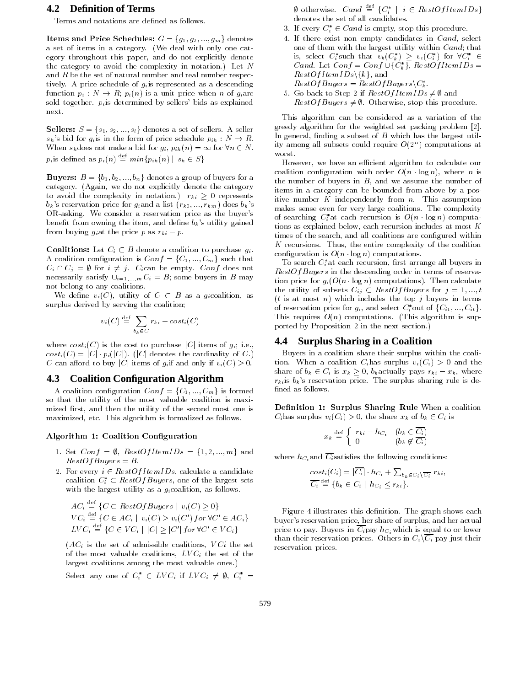# **4.2 Definition of Terms**

Items and Price Schedules:  $G = \{g_1, g_2, ..., g_m\}$  denotes a set of items in a category. (We deal with only one category throughout this paper, and do not explicitly denote the category to avoid the complexity in notation.) Let  $N$ and  $R$  be the set of natural number and real number respectively. A price schedule of  $g_i$  is represented as a descending function  $p_i : N \to R$ ;  $p_i(n)$  is a unit price when n of g<sub>i</sub>are sold together.  $p_i$  is determined by sellers' bids as explained next.

Sellers:  $S = \{s_1, s_2, ..., s_l\}$  denotes a set of sellers. A seller  $s_h$ 's bid for  $g_i$ is in the form of price schedule  $p_{ih}: N \to R$ . When  $s_h$  does not make a bid for  $g_i$ ,  $p_{ih}(n) = \infty$  for  $\forall n \in N$ .  $p_i$  is defined as  $p_i(n) \stackrel{\text{def}}{=} min\{p_{ih}(n) \mid s_h \in S\}$ 

**Buyers:**  $B = \{b_1, b_2, ..., b_n\}$  denotes a group of buyers for a category. (Again, we do not explicitly denote the category to avoid the complexity in notation.)  $r_{ki} \geq 0$  represents  $b_k$ 's reservation price for  $g_i$  and a list  $(r_{k0},...,r_{km})$  does  $b_k$ 's OR-asking. We consider a reservation price as the buyer's benefit from owning the item, and define  $b_k$ 's utility gained from buying  $g_i$  at the price p as  $r_{ki} - p$ .

**Coalitions:** Let  $C_i \subset B$  denote a coalition to purchase  $g_i$ . A coalition configuration is  $Conf = \{C_1, ..., C_m\}$  such that  $C_i \cap C_j = \emptyset$  for  $i \neq j$ .  $C_i$  can be empty. Conf does not necessarily satisfy  $\cup_{i=1,\dots,m} C_i = B$ ; some buyers in B may not belong to any coalitions.

We define  $v_i(C)$ , utility of  $C \subset B$  as a g<sub>i</sub>coalition, as surplus derived by serving the coalition;

$$
v_i(C) \stackrel{\text{def}}{=} \sum_{b_k \in C} r_{ki} - cost_i(C)
$$

where  $cost_i(C)$  is the cost to purchase |C| items of  $q_i$ ; i.e.,  $cost_i(C) = |C| \cdot p_i(|C|)$ . (|C| denotes the cardinality of C.) C can afford to buy |C| items of  $g_i$  if and only if  $v_i(C) \geq 0$ .

#### **4.3 Coalition Configuration Algorithm**

A coalition configuration  $Conf = \{C_1, ..., C_m\}$  is formed so that the utility of the most valuable coalition is maximized first, and then the utility of the second most one is maximized, etc. This algorithm is formalized as follows.

#### Algorithm 1: Coalition Conguration

- 1. Set  $Conf = \emptyset$ ,  $RestOfItemIDs = \{1, 2, ..., m\}$  and  $RestOfBuyers = B.$
- 2. For every  $i \in RestOfItemIDs$ , calculate a candidate coalition  $C_i^* \subset RestOfBuyers$ , one of the largest sets with the largest utility as a  $q_i$  coalition, as follows.

$$
AC_i \stackrel{\text{def}}{=} \{ C \subset RestOfBuyers \mid v_i(C) \ge 0 \}
$$
  
\n
$$
VC_i \stackrel{\text{def}}{=} \{ C \in AC_i \mid v_i(C) \ge v_i(C') \text{ for } \forall C' \in AC_i \}
$$
  
\n
$$
LVC_i \stackrel{\text{def}}{=} \{ C \in VC_i \mid |C| \ge |C'| \text{ for } \forall C' \in VC_i \}
$$

 $(AC<sub>i</sub>$  is the set of admissible coalitions,  $VC<sub>i</sub>$  the set of the most valuable coalitions,  $LVC_i$  the set of the largest coalitions among the most valuable ones.)

Select any one of  $C_i^* \in LVC_i$  if  $LVC_i \neq \emptyset$ ,  $C_i^* = \emptyset$ 

 $\emptyset$  otherwise.  $C$  and  $\stackrel{\text{def}}{=} \{C_i^* \mid i \in RestOfItemIDs\}$ denotes the set of all candidates.

- 3. If every  $C_i^* \in Cand$  is empty, stop this procedure.
- 4. If there exist non empty candidates in Cand, select one of them with the largest utility within Cand; that is, select  $C_i^*$ such that  $v_k(C_k^*) \geq v_i(C_i^*)$  for  $\forall C_i^* \in$ Cand. Let Con $f=Conf\cup \{C^*_k\}$ , RestO $fltemIDs=$  $RestOfItemIDs\{k\},$  and  $RestOfBuyers=RestOfBuyers \backslash C^*_k$  .
- 5. Go back to Step 2 if  $RestOfItemIDs \neq \emptyset$  and  $RestOfBuyers \neq \emptyset$ . Otherwise, stop this procedure.

This algorithm can be considered as a variation of the greedy algorithm for the weighted set packing problem [2]. In general, finding a subset of  $B$  which has the largest utility among all subsets could require O(2n ) computations at worst.

However, we have an efficient algorithm to calculate our coalition configuration with order  $O(n \log n)$ , where *n* is the number of buyers in  $B$ , and we assume the number of items in a category can be bounded from above by a positive number K independently from  $n$ . This assumption makes sense even for very large coalitions. The complexity of searching  $C_i^*$  at each recursion is  $O(n \cdot \log n)$  computations as explained below, each recursion includes at most K times of the search, and all coalitions are configured within K recursions. Thus, the entire complexity of the coalition configuration is  $O(n \cdot \log n)$  computations.

To search  $C_i^*$ at each recursion, first arrange all buyers in  $RestOfBuyers$  in the descending order in terms of reservation price for  $g_i(O(n \cdot \log n))$  computations). Then calculate the utility of subsets  $C_{ij} \subset RestOfBuyers$  for  $j = 1, ..., t$  $(t$  is at most n) which includes the top j buyers in terms of reservation price for  $g_i$ , and select  $C_i^*$  out of  $\{C_{i1},...,C_{it}\}$ . This requires  $O(n)$  computations. (This algorithm is supported by Proposition 2 in the next section.)

#### **4.4 Surplus Sharing in a Coalition**

Buyers in a coalition share their surplus within the coalition. When a coalition  $C_i$  has surplus  $v_i(C_i) > 0$  and the share of  $b_k \in C_i$  is  $x_k \geq 0$ ,  $b_k$  actually pays  $r_{ki} - x_k$ , where  $r_{ki}$  is  $b_k$ 's reservation price. The surplus sharing rule is defined as follows.

Definition 1: Surplus Sharing Rule When a coalition  $C_i$ has surplus  $v_i(C_i) > 0$ , the share  $x_k$  of  $b_k \in C_i$  is

$$
x_k \stackrel{\text{def}}{=} \begin{cases} r_{ki} - h_{C_i} & (b_k \in \overline{C_i}) \\ 0 & (b_k \notin \overline{C_i}) \end{cases}
$$

where  $h_C$  and  $\overline{C_i}$  satisfies the following conditions:

$$
\begin{aligned} \n\text{cost}_i(C_i) &= |\overline{C_i}| \cdot h_{C_i} + \sum_{b_k \in C_i \setminus \overline{C_i}} r_{ki}, \\ \n\overline{C_i} & \stackrel{\text{def}}{=} \{ b_k \in C_i \mid h_{C_i} \le r_{ki} \}. \n\end{aligned}
$$

Figure 4 illustrates this definition. The graph shows each buyer's reservation price, her share of surplus, and her actual price to pay. Buyers in  $\overline{C_i}$  pay  $h_C$ , which is equal to or lower than their reservation prices. Others in  $C_i\backslash\overline{C_i}$  pay just their reservation prices.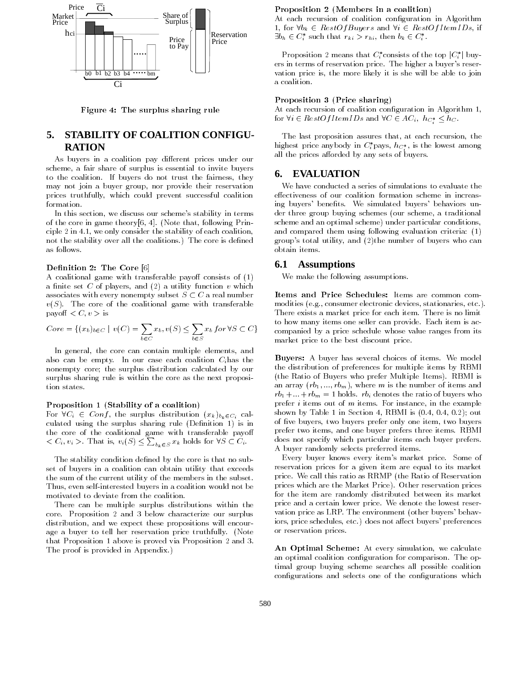

Figure 4: The surplus sharing rule

# **5. STABILITY OF COALITION CONFIGU-RATION**

As buyers in a coalition pay different prices under our scheme, a fair share of surplus is essential to invite buyers to the coalition. If buyers do not trust the fairness, they may not join a buyer group, nor provide their reservation prices truthfully, which could prevent successful coalition formation.

In this section, we discuss our scheme's stability in terms of the core in game theory[6, 4]. (Note that, following Principle 2 in 4.1, we only consider the stability of each coalition, not the stability over all the coalitions.) The core is defined as follows.

#### Definition 2: The Core [6]

A coalitional game with transferable payoff consists of  $(1)$ a finite set C of players, and  $(2)$  a utility function v which associates with every nonempty subset  $S \subset C$  a real number  $v(S)$ . The core of the coalitional game with transferable payoff  $\langle C, v \rangle$  is

$$
Core = \{(x_b)_{b \in C} \mid v(C) = \sum_{b \in C} x_b, v(S) \le \sum_{b \in S} x_b \text{ for } \forall S \subset C\}
$$

In general, the core can contain multiple elements, and also can be empty. In our case each coalition  $C_i$  has the nonempty core; the surplus distribution calculated by our surplus sharing rule is within the core as the next proposition states.

#### Proposition 1 (Stability of a coalition)

For  $\forall C_i \in Conf$ , the surplus distribution  $(x_k)_{b_k \in C_i}$  calculated using the surplus sharing rule (Definition 1) is in the core of the coalitional game with transferable payo  $\langle C_i, v_i \rangle$ . That is,  $v_i(S) \leq \sum_{b_k \in S} x_k$  holds for  $\forall S \subset C_i$ .

The stability condition defined by the core is that no subset of buyers in a coalition can obtain utility that exceeds the sum of the current utility of the members in the subset. Thus, even self-interested buyers in a coalition would not be motivated to deviate from the coalition.

There can be multiple surplus distributions within the core. Proposition 2 and 3 below characterize our surplus distribution, and we expect these propositions will encourage a buyer to tell her reservation price truthfully. (Note that Proposition 1 above is proved via Proposition 2 and 3. The proof is provided in Appendix.)

## Proposition 2 (Members in a coalition)

At each recursion of coalition conguration in Algorithm 1, for  $\forall b_k \in RestOfBuyers$  and  $\forall i \in RestOfItemIDs$ , if  $\exists b_h \in C_i^*$  such that  $r_{ki} > r_{hi}$ , then  $b_k \in C_i^*$ .

Proposition 2 means that  $C_i^*$  consists of the top  $|C_i^*|$  buyers in terms of reservation price. The higher a buyer's reservation price is, the more likely it is she will be able to join

#### Proposition 3 (Price sharing)

At each recursion of coalition conguration in Algorithm 1, for  $\forall i \in RestOfItemIDs$  and  $\forall C \in AC_i, \,\, h_{C_i^*} \leq h_C$  .

The last proposition assures that, at each recursion, the highest price anybody in  $C_i^*$ pays,  $h_{C^*}$ , is the lowest among all the prices afforded by any sets of buyers.

### **6. EVALUATION**

We have conducted a series of simulations to evaluate the effectiveness of our coalition formation scheme in increasing buyers' benefits. We simulated buyers' behaviors under three group buying schemes (our scheme, a traditional scheme and an optimal scheme) under particular conditions, and compared them using following evaluation criteria: (1) group's total utility, and (2)the number of buyers who can

#### **6.1 Assumptions**

We make the following assumptions.

Items and Price Schedules: Items are common commodities (e.g., consumer electronic devices, stationaries, etc.). There exists a market price for each item. There is no limit to how many items one seller can provide. Each item is accompanied by a price schedule whose value ranges from its market price to the best discount price.

Buyers: A buyer has several choices of items. We model the distribution of preferences for multiple items by RBMI (the Ratio of Buyers who prefer Multiple Items). RBMI is an array  $(rb_1, ..., rb_m)$ , where m is the number of items and  $rb_1 + \ldots + rb_m = 1$  holds.  $rb_i$  denotes the ratio of buyers who prefer  $i$  items out of  $m$  items. For instance, in the example shown by Table 1 in Section 4, RBMI is (0.4, 0.4, 0.2); out of five buyers, two buyers prefer only one item, two buyers prefer two items, and one buyer prefers three items. RBMI does not specify which particular items each buyer prefers. A buyer randomly selects preferred items.

Every buyer knows every item's market price. Some of reservation prices for a given item are equal to its market price. We call this ratio as RRMP (the Ratio of Reservation prices which are the Market Price). Other reservation prices for the item are randomly distributed between its market price and a certain lower price. We denote the lowest reservation price as LRP. The environment (other buyers' behaviors, price schedules, etc.) does not affect buyers' preferences or reservation prices.

An Optimal Scheme: At every simulation, we calculate an optimal coalition configuration for comparison. The optimal group buying scheme searches all possible coalition configurations and selects one of the configurations which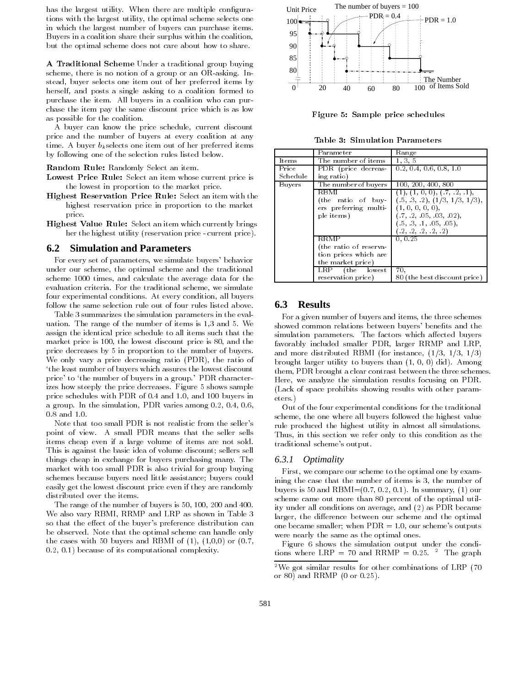has the largest utility. When there are multiple configurations with the largest utility, the optimal scheme selects one in which the largest number of buyers can purchase items. Buyers in a coalition share their surplus within the coalition, but the optimal scheme does not care about how to share.

A Traditional Scheme Under a traditional group buying scheme, there is no notion of a group or an OR-asking. Instead, buyer selects one item out of her preferred items by herself, and posts a single asking to a coalition formed to purchase the item. All buyers in a coalition who can purchase the item pay the same discount price which is as low as possible for the coalition.

A buyer can know the price schedule, current discount price and the number of buyers at every coalition at any time. A buyer  $b_k$  selects one item out of her preferred items by following one of the selection rules listed below.

Random Rule: Randomly Select an item.

- Lowest Price Rule: Select an item whose current price is the lowest in proportion to the market price.
- Highest Reservation Price Rule: Select an item with the highest reservation price in proportion to the market price.
- Highest Value Rule: Select an item which currently brings her the highest utility (reservation price - current price).

#### **6.2 Simulation and Parameters**

For every set of parameters, we simulate buyers' behavior under our scheme, the optimal scheme and the traditional scheme 1000 times, and calculate the average data for the evaluation criteria. For the traditional scheme, we simulate four experimental conditions. At every condition, all buyers follow the same selection rule out of four rules listed above.

Table 3 summarizes the simulation parameters in the evaluation. The range of the number of items is 1,3 and 5. We assign the identical price schedule to all items such that the market price is 100, the lowest discount price is 80, and the price decreases by 5 in proportion to the number of buyers. We only vary a price decreasing ratio (PDR), the ratio of `the least number of buyers which assures the lowest discount price' to 'the number of buyers in a group.' PDR characterizes how steeply the price decreases. Figure 5 shows sample price schedules with PDR of 0.4 and 1.0, and 100 buyers in a group. In the simulation, PDR varies among 0.2, 0.4, 0.6, 0.8 and 1.0.

Note that too small PDR is not realistic from the seller's point of view. A small PDR means that the seller sells items cheap even if a large volume of items are not sold. This is against the basic idea of volume discount; sellers sell things cheap in exchange for buyers purchasing many. The market with too small PDR is also trivial for group buying schemes because buyers need little assistance; buyers could easily get the lowest discount price even if they are randomly distributed over the items.

The range of the number of buyers is 50, 100, 200 and 400. We also vary RBMI, RRMP and LRP as shown in Table 3 so that the effect of the buyer's preference distribution can be observed. Note that the optimal scheme can handle only the cases with 50 buyers and RBMI of  $(1)$ ,  $(1,0,0)$  or  $(0.7, 1)$ 0.2, 0.1) because of its computational complexity.



Figure 5: Sample price schedules

Table 3: Simulation Parameters

|          | Parameter              | Range                             |
|----------|------------------------|-----------------------------------|
| Items    | The number of items    | 1, 3, 5                           |
| Price    | PDR (price decreas-    | 0.2, 0.4, 0.6, 0.8, 1.0           |
| Schedule | ing ratio)             |                                   |
| Buyers   | The number of buyers   | 100, 200, 400, 800                |
|          | RBMI                   | (1), (1, 0, 0), (7, .2, .1),      |
|          | (the ratio of buy-     | (0.5, 0.3, 0.2), (1/3, 1/3, 1/3), |
|          | ers preferring multi-  | $(1, 0, 0, 0, 0)$ ,               |
|          | ple items)             | (.7, .2, .05, .03, .02),          |
|          |                        | (.5, .3, .1, .05, .05),           |
|          |                        | (.2, .2, .2, .2, .2)              |
|          | <b>RRMP</b>            | 0.0.25                            |
|          | (the ratio of reserva- |                                   |
|          | tion prices which are  |                                   |
|          | the market price)      |                                   |
|          | LRP<br>the (<br>lowest | 70,                               |
|          | reservation price)     | 80 (the best discount price)      |

## **6.3 Results**

For a given number of buyers and items, the three schemes showed common relations between buyers' benefits and the simulation parameters. The factors which affected buyers favorably included smaller PDR, larger RRMP and LRP, and more distributed RBMI (for instance, (1/3, 1/3, 1/3) brought larger utility to buyers than (1, 0, 0) did). Among them, PDR brought a clear contrast between the three schemes. Here, we analyze the simulation results focusing on PDR. (Lack of space prohibits showing results with other parameters.)

Out of the four experimental conditions for the traditional scheme, the one where all buyers followed the highest value scheme, the one where all buyers followed the highest value rule produced the highest utility in almost all simulations. Thus, in this section we refer only to this condition as the traditional scheme's output.

#### *6.3.1 Optimality*

First, we compare our scheme to the optimal one by examining the case that the number of items is 3, the number of buyers is 50 and  $RBMI=(0.7, 0.2, 0.1)$ . In summary, (1) our scheme came out more than 80 percent of the optimal utility under all conditions on average, and (2) as PDR became larger, the difference between our scheme and the optimal one became smaller; when  $PDR = 1.0$ , our scheme's outputs were nearly the same as the optimal ones.

Figure 6 shows the simulation output under the conditions where LRP = 70 and RRMP = 0.25.<sup>2</sup> The graph

<sup>2</sup>We got similar results for other combinations of LRP (70 or 80) and RRMP (0 or 0.25).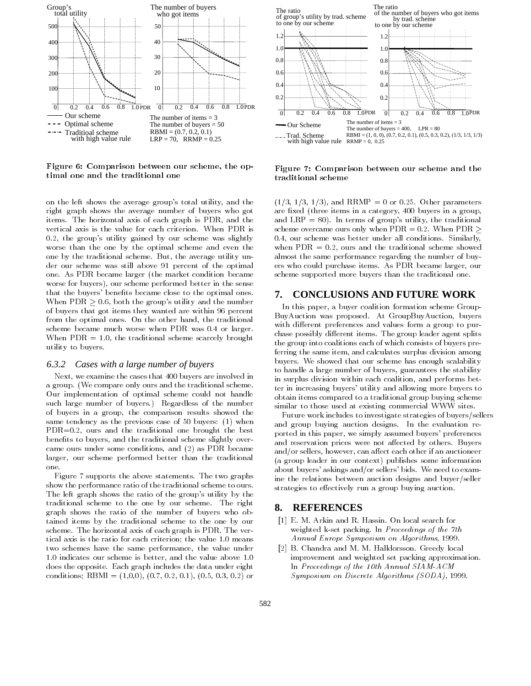

Figure 6: Comparison between our scheme, the optimal one and the traditional one

on the left shows the average group's total utility, and the right graph shows the average number of buyers who got items. The horizontal axis of each graph is PDR, and the vertical axis is the value for each criterion. When PDR is 0.2, the group's utility gained by our scheme was slightly worse than the one by the optimal scheme and even the one by the traditional scheme. But, the average utility under our scheme was still above 91 percent of the optimal one. As PDR became larger (the market condition became worse for buyers), our scheme performed better in the sense that the buyers' benefits became close to the optimal ones. When  $PDR > 0.6$ , both the group's utility and the number of buyers that got items they wanted are within 96 percent from the optimal ones. On the other hand, the traditional scheme became much worse when PDR was 0.4 or larger. When  $PDR = 1.0$ , the traditional scheme scarcely brought utility to buyers.

#### *6.3.2 Cases with a large number of buyers*

Next, we examine the cases that 400 buyers are involved in a group. (We compare only ours and the traditional scheme. Our implementation of optimal scheme could not handle such large number of buyers.) Regardless of the number of buyers in a group, the comparison results showed the same tendency as the previous case of 50 buyers: (1) when PDR=0.2, ours and the traditional one brought the best benefits to buyers, and the traditional scheme slightly overcame ours under some conditions, and (2) as PDR became larger, our scheme performed better than the traditional one.

Figure 7 supports the above statements. The two graphs show the performance ratio of the traditional scheme to ours. The left graph shows the ratio of the group's utility by the traditional scheme to the one by our scheme. The right graph shows the ratio of the number of buyers who obtained items by the traditional scheme to the one by our scheme. The horizontal axis of each graph is PDR. The vertical axis is the ratio for each criterion; the value 1.0 means two schemes have the same performance, the value under 1.0 indicates our scheme is better, and the value above 1.0 does the opposite. Each graph includes the data under eight conditions; RBMI =  $(1,0,0)$ ,  $(0.7, 0.2, 0.1)$ ,  $(0.5, 0.3, 0.2)$  or



Figure 7: Comparison between our scheme and the traditional scheme

 $(1/3, 1/3, 1/3)$ , and RRMP = 0 or 0.25. Other parameters are fixed (three items in a category, 400 buyers in a group, and  $LRP = 80$ . In terms of group's utility, the traditional scheme overcame ours only when  $PDR = 0.2$ . When  $PDR \geq$ 0.4, our scheme was better under all conditions. Similarly, when  $PDR = 0.2$ , ours and the traditional scheme showed almost the same performance regarding the number of buyers who could purchase items. As PDR became larger, our scheme supported more buyers than the traditional one.

## **7. CONCLUSIONS AND FUTURE WORK**

In this paper, a buyer coalition formation scheme Group-BuyAuction was proposed. At GroupBuyAuction, buyers with different preferences and values form a group to purchase possibly different items. The group leader agent splits the group into coalitions each of which consists of buyers preferring the same item, and calculates surplus division among buyers. We showed that our scheme has enough scalability to handle a large number of buyers, guarantees the stability in surplus division within each coalition, and performs better in increasing buyers' utility and allowing more buyers to obtain items compared to a traditional group buying scheme similar to those used at existing commercial WWW sites.

Future work includes to investigate strategies of buyers/sellers and group buying auction designs. In the evaluation reported in this paper, we simply assumed buyers' preferences and reservation prices were not affected by others. Buyers and/or sellers, however, can affect each other if an auctioneer (a group leader in our context) publishes some information about buyers' askings and/or sellers' bids. We need to examine the relations between auction designs and buyer/seller strategies to effectively run a group buying auction.

## **8. REFERENCES**

- [1] E. M. Arkin and R. Hassin. On local search for weighted k-set packing. In Proceedings of the 7th Annual Europe Symposium on Algorithms, 1999.
- [2] B. Chandra and M. M. Halldorsson. Greedy local improvement and weighted set packing approximation. In Proceedings of the 10th Annual SIAM-ACM Symposium on Discrete Algorithms (SODA), 1999.